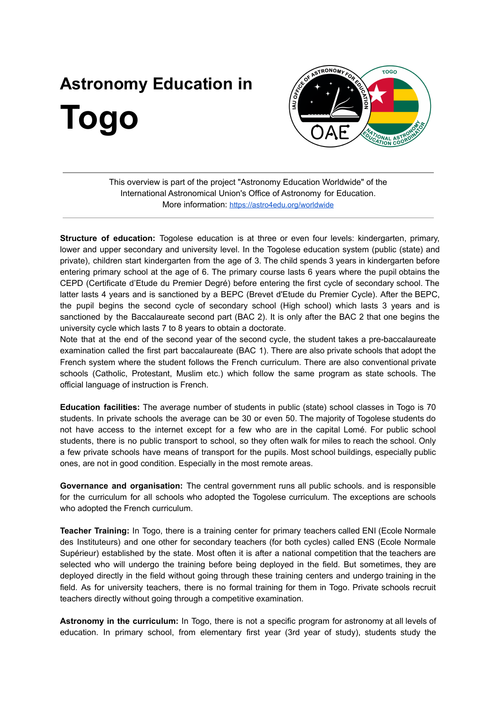## **Astronomy Education in Togo**



This overview is part of the project "Astronomy Education Worldwide" of the International Astronomical Union's Office of Astronomy for Education. More information: <https://astro4edu.org/worldwide>

**Structure of education:** Togolese education is at three or even four levels: kindergarten, primary, lower and upper secondary and university level. In the Togolese education system (public (state) and private), children start kindergarten from the age of 3. The child spends 3 years in kindergarten before entering primary school at the age of 6. The primary course lasts 6 years where the pupil obtains the CEPD (Certificate d'Etude du Premier Degré) before entering the first cycle of secondary school. The latter lasts 4 years and is sanctioned by a BEPC (Brevet d'Etude du Premier Cycle). After the BEPC, the pupil begins the second cycle of secondary school (High school) which lasts 3 years and is sanctioned by the Baccalaureate second part (BAC 2). It is only after the BAC 2 that one begins the university cycle which lasts 7 to 8 years to obtain a doctorate.

Note that at the end of the second year of the second cycle, the student takes a pre-baccalaureate examination called the first part baccalaureate (BAC 1). There are also private schools that adopt the French system where the student follows the French curriculum. There are also conventional private schools (Catholic, Protestant, Muslim etc.) which follow the same program as state schools. The official language of instruction is French.

**Education facilities:** The average number of students in public (state) school classes in Togo is 70 students. In private schools the average can be 30 or even 50. The majority of Togolese students do not have access to the internet except for a few who are in the capital Lomé. For public school students, there is no public transport to school, so they often walk for miles to reach the school. Only a few private schools have means of transport for the pupils. Most school buildings, especially public ones, are not in good condition. Especially in the most remote areas.

**Governance and organisation:** The central government runs all public schools. and is responsible for the curriculum for all schools who adopted the Togolese curriculum. The exceptions are schools who adopted the French curriculum.

**Teacher Training:** In Togo, there is a training center for primary teachers called ENI (Ecole Normale des Instituteurs) and one other for secondary teachers (for both cycles) called ENS (Ecole Normale Supérieur) established by the state. Most often it is after a national competition that the teachers are selected who will undergo the training before being deployed in the field. But sometimes, they are deployed directly in the field without going through these training centers and undergo training in the field. As for university teachers, there is no formal training for them in Togo. Private schools recruit teachers directly without going through a competitive examination.

**Astronomy in the curriculum:** In Togo, there is not a specific program for astronomy at all levels of education. In primary school, from elementary first year (3rd year of study), students study the